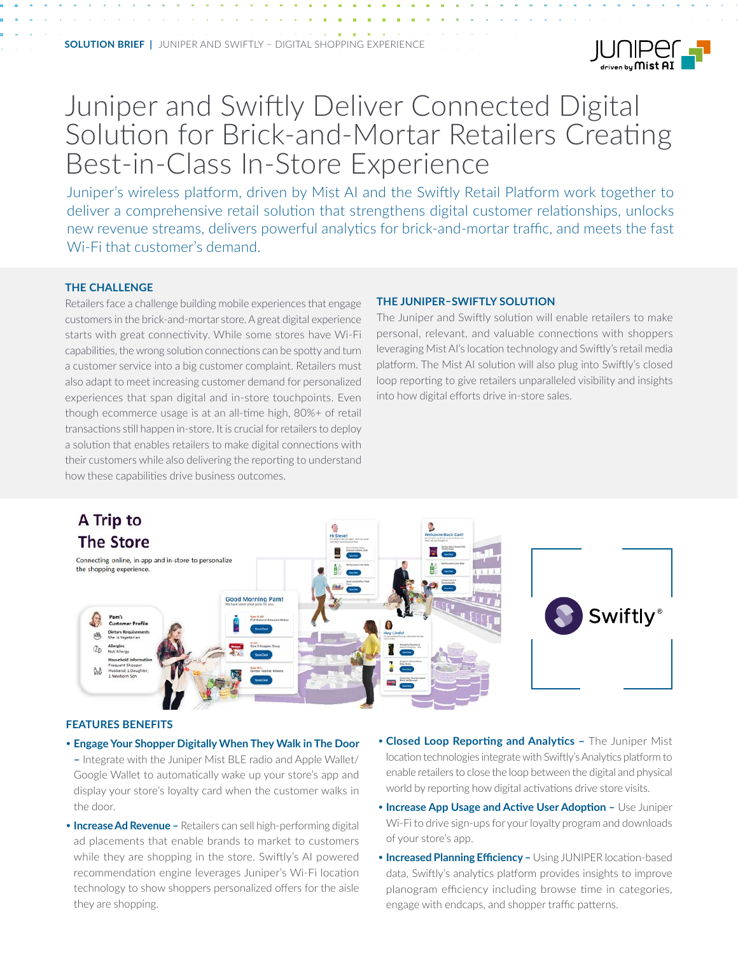

# Juniper and Swiftly Deliver Connected Digital Solution for Brick-and-Mortar Retailers Creating Best-in-Class In-Store Experience

Juniper's wireless platform, driven by Mist AI and the Swiftly Retail Platform work together to deliver a comprehensive retail solution that strengthens digital customer relationships, unlocks new revenue streams, delivers powerful analytics for brick-and-mortar traffic, and meets the fast Wi-Fi that customer's demand.

#### **THE CHALLENGE**

Retailers face a challenge building mobile experiences that engage customers in the brick-and-mortar store. A great digital experience starts with great connectivity. While some stores have Wi-Fi capabilities, the wrong solution connections can be spotty and turn a customer service into a big customer complaint. Retailers must also adapt to meet increasing customer demand for personalized experiences that span digital and in-store touchpoints. Even though ecommerce usage is at an all-time high, 80%+ of retail transactions still happen in-store. It is crucial for retailers to deploy a solution that enables retailers to make digital connections with their customers while also delivering the reporting to understand how these capabilities drive business outcomes.

#### **THE JUNIPER–SWIFTLY SOLUTION**

The Juniper and Swiftly solution will enable retailers to make personal, relevant, and valuable connections with shoppers leveraging Mist AI's location technology and Swiftly's retail media platform. The Mist AI solution will also plug into Swiftly's closed loop reporting to give retailers unparalleled visibility and insights into how digital efforts drive in-store sales.



#### **FEATURES BENEFITS**

- **Engage Your Shopper Digitally When They Walk in The Door –** Integrate with the Juniper Mist BLE radio and Apple Wallet/ Google Wallet to automatically wake up your store's app and display your store's loyalty card when the customer walks in the door.
- **Increase Ad Revenue –** Retailers can sell high-performing digital ad placements that enable brands to market to customers while they are shopping in the store. Swiftly's AI powered recommendation engine leverages Juniper's Wi-Fi location technology to show shoppers personalized offers for the aisle they are shopping.
- **Closed Loop Reporting and Analytics –** The Juniper Mist location technologies integrate with Swiftly's Analytics platform to enable retailers to close the loop between the digital and physical world by reporting how digital activations drive store visits.
- **Increase App Usage and Active User Adoption –** Use Juniper Wi-Fi to drive sign-ups for your loyalty program and downloads of your store's app.
- **Increased Planning Efficiency –** Using JUNIPER location-based data, Swiftly's analytics platform provides insights to improve planogram efficiency including browse time in categories, engage with endcaps, and shopper traffic patterns.